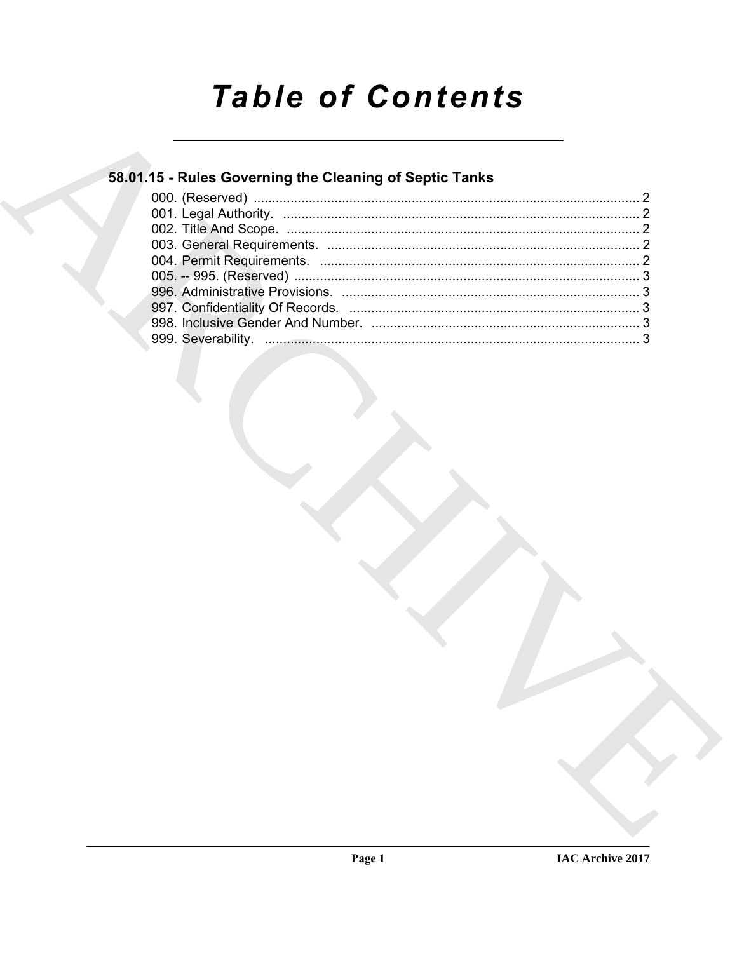# **Table of Contents**

### 58.01.15 - Rules Governing the Cleaning of Septic Tanks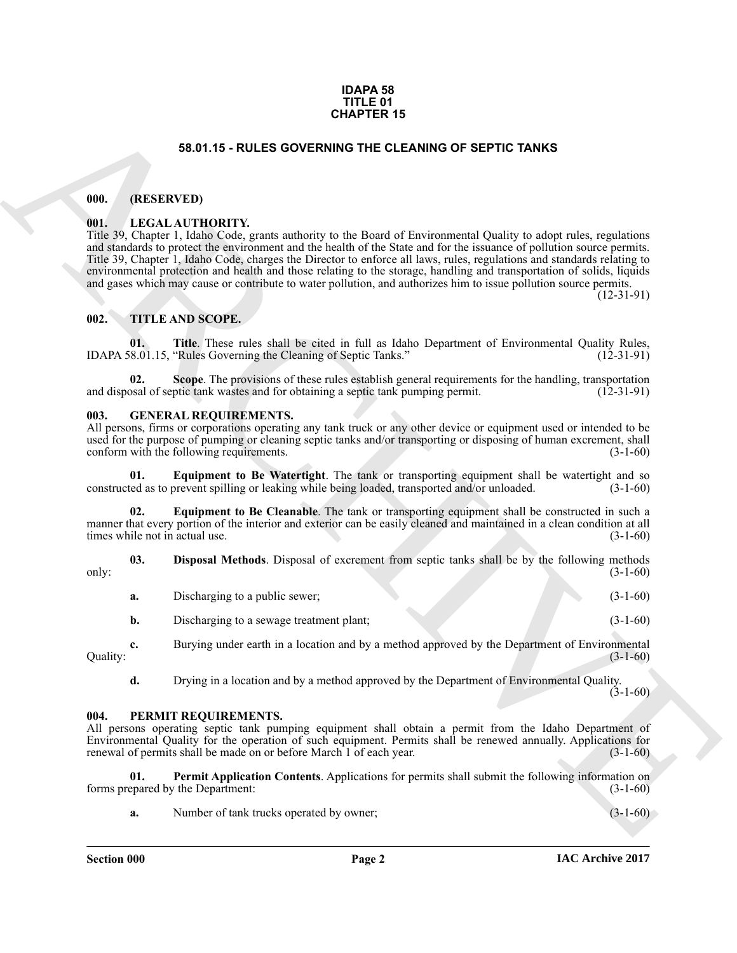#### **IDAPA 58 TITLE 01 CHAPTER 15**

#### **58.01.15 - RULES GOVERNING THE CLEANING OF SEPTIC TANKS**

#### <span id="page-1-1"></span><span id="page-1-0"></span>**000. (RESERVED)**

#### <span id="page-1-2"></span>**001. LEGAL AUTHORITY.**

**EXAMPLER 15**<br> **EXAMPLE SCIENCISE GOVERNING THE CLEANING OF SEPTIC TANKS**<br> **EXAMPLE SCIENCISE CONTINUES CONTINUES THE CLEANING OF SEPTIC TANKS**<br> **EXAMPLE INTERNATIVE CONTINUES TO THE CLEANING OF SEPTIC TANKS**<br> **EXAMPLE IN** Title 39, Chapter 1, Idaho Code, grants authority to the Board of Environmental Quality to adopt rules, regulations and standards to protect the environment and the health of the State and for the issuance of pollution source permits. Title 39, Chapter 1, Idaho Code, charges the Director to enforce all laws, rules, regulations and standards relating to environmental protection and health and those relating to the storage, handling and transportation of solids, liquids and gases which may cause or contribute to water pollution, and authorizes him to issue pollution source permits.

(12-31-91)

#### <span id="page-1-3"></span>**002. TITLE AND SCOPE.**

**01.** Title. These rules shall be cited in full as Idaho Department of Environmental Quality Rules, it is also all the Cleaning of Septic Tanks." (12-31-91) IDAPA 58.01.15, "Rules Governing the Cleaning of Septic Tanks."

**Scope**. The provisions of these rules establish general requirements for the handling, transportation ptic tank wastes and for obtaining a septic tank pumping permit. (12-31-91) and disposal of septic tank wastes and for obtaining a septic tank pumping permit.

#### <span id="page-1-6"></span><span id="page-1-4"></span>**003. GENERAL REQUIREMENTS.**

All persons, firms or corporations operating any tank truck or any other device or equipment used or intended to be used for the purpose of pumping or cleaning septic tanks and/or transporting or disposing of human excrement, shall<br>conform with the following requirements. (3-1-60) conform with the following requirements.

<span id="page-1-9"></span>**Equipment to Be Watertight**. The tank or transporting equipment shall be watertight and so constructed as to prevent spilling or leaking while being loaded, transported and/or unloaded. (3-1-60)

<span id="page-1-8"></span>**02. Equipment to Be Cleanable**. The tank or transporting equipment shall be constructed in such a manner that every portion of the interior and exterior can be easily cleaned and maintained in a clean condition at all times while not in actual use. (3-1-60) times while not in actual use.

**03. Disposal Methods**. Disposal of excrement from septic tanks shall be by the following methods (3-1-60) only:  $(3-1-60)$ 

<span id="page-1-7"></span>

| a. | Discharging to a public sewer; |  | $(3-1-60)$ |
|----|--------------------------------|--|------------|
|    |                                |  |            |

**b.** Discharging to a sewage treatment plant; (3-1-60)

**c.** Burying under earth in a location and by a method approved by the Department of Environmental  $\text{Quality:} \tag{3-1-60}$ 

<span id="page-1-10"></span>**d.** Drying in a location and by a method approved by the Department of Environmental Quality.  $(3-1-60)$ 

#### <span id="page-1-5"></span>**004. PERMIT REQUIREMENTS.**

All persons operating septic tank pumping equipment shall obtain a permit from the Idaho Department of Environmental Quality for the operation of such equipment. Permits shall be renewed annually. Applications for renewal of permits shall be made on or before March 1 of each year.

**01. Permit Application Contents**. Applications for permits shall submit the following information on epared by the Department: (3-1-60) forms prepared by the Department:

<span id="page-1-11"></span>**a.** Number of tank trucks operated by owner; (3-1-60)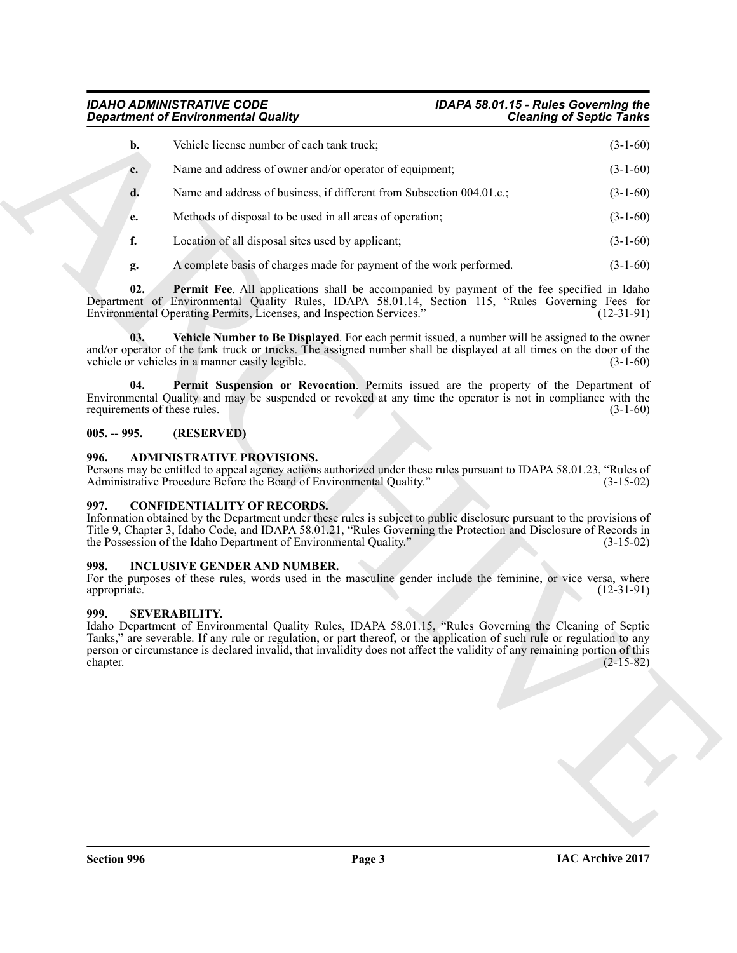#### *IDAHO ADMINISTRATIVE CODE IDAPA 58.01.15 - Rules Governing the Department of Environmental Quality*

|                                     | <b>Department of Environmental Quality</b>                                                                                                                                                                                                                                                                                                                                               | <b>Cleaning of Septic Tanks</b> |
|-------------------------------------|------------------------------------------------------------------------------------------------------------------------------------------------------------------------------------------------------------------------------------------------------------------------------------------------------------------------------------------------------------------------------------------|---------------------------------|
| b.                                  | Vehicle license number of each tank truck;                                                                                                                                                                                                                                                                                                                                               | $(3-1-60)$                      |
| c.                                  | Name and address of owner and/or operator of equipment;                                                                                                                                                                                                                                                                                                                                  | $(3-1-60)$                      |
| d.                                  | Name and address of business, if different from Subsection 004.01.c.;                                                                                                                                                                                                                                                                                                                    | $(3-1-60)$                      |
| e.                                  | Methods of disposal to be used in all areas of operation;                                                                                                                                                                                                                                                                                                                                | $(3-1-60)$                      |
| f.                                  | Location of all disposal sites used by applicant;                                                                                                                                                                                                                                                                                                                                        | $(3-1-60)$                      |
| g.                                  | A complete basis of charges made for payment of the work performed.                                                                                                                                                                                                                                                                                                                      | $(3-1-60)$                      |
| 02.                                 | Permit Fee. All applications shall be accompanied by payment of the fee specified in Idaho<br>Department of Environmental Quality Rules, IDAPA 58.01.14, Section 115, "Rules Governing Fees for<br>Environmental Operating Permits, Licenses, and Inspection Services."                                                                                                                  | $(12-31-91)$                    |
| 03.                                 | Vehicle Number to Be Displayed. For each permit issued, a number will be assigned to the owner<br>and/or operator of the tank truck or trucks. The assigned number shall be displayed at all times on the door of the<br>vehicle or vehicles in a manner easily legible.                                                                                                                 | $(3-1-60)$                      |
| 04.<br>requirements of these rules. | Permit Suspension or Revocation. Permits issued are the property of the Department of<br>Environmental Quality and may be suspended or revoked at any time the operator is not in compliance with the                                                                                                                                                                                    | $(3-1-60)$                      |
| $005. - 995.$                       | (RESERVED)                                                                                                                                                                                                                                                                                                                                                                               |                                 |
| 996.                                | <b>ADMINISTRATIVE PROVISIONS.</b><br>Persons may be entitled to appeal agency actions authorized under these rules pursuant to IDAPA 58.01.23, "Rules of<br>Administrative Procedure Before the Board of Environmental Quality."                                                                                                                                                         | $(3-15-02)$                     |
| 997.                                | <b>CONFIDENTIALITY OF RECORDS.</b><br>Information obtained by the Department under these rules is subject to public disclosure pursuant to the provisions of<br>Title 9, Chapter 3, Idaho Code, and IDAPA 58.01.21, "Rules Governing the Protection and Disclosure of Records in<br>the Possession of the Idaho Department of Environmental Quality."                                    | $(3-15-02)$                     |
| 998.<br>appropriate.                | <b>INCLUSIVE GENDER AND NUMBER.</b><br>For the purposes of these rules, words used in the masculine gender include the feminine, or vice versa, where                                                                                                                                                                                                                                    | $(12-31-91)$                    |
| 999.<br>chapter.                    | <b>SEVERABILITY.</b><br>Idaho Department of Environmental Quality Rules, IDAPA 58.01.15, "Rules Governing the Cleaning of Septic<br>Tanks," are severable. If any rule or regulation, or part thereof, or the application of such rule or regulation to any<br>person or circumstance is declared invalid, that invalidity does not affect the validity of any remaining portion of this | $(2-15-82)$                     |
|                                     |                                                                                                                                                                                                                                                                                                                                                                                          |                                 |
|                                     |                                                                                                                                                                                                                                                                                                                                                                                          |                                 |
|                                     |                                                                                                                                                                                                                                                                                                                                                                                          |                                 |
|                                     |                                                                                                                                                                                                                                                                                                                                                                                          |                                 |
|                                     |                                                                                                                                                                                                                                                                                                                                                                                          |                                 |

#### <span id="page-2-9"></span><span id="page-2-8"></span><span id="page-2-7"></span><span id="page-2-0"></span>**005. -- 995. (RESERVED)**

#### <span id="page-2-5"></span><span id="page-2-1"></span>**996. ADMINISTRATIVE PROVISIONS.**

#### <span id="page-2-6"></span><span id="page-2-2"></span>**997. CONFIDENTIALITY OF RECORDS.**

#### <span id="page-2-3"></span>**998. INCLUSIVE GENDER AND NUMBER.**

#### <span id="page-2-4"></span>**999. SEVERABILITY.**